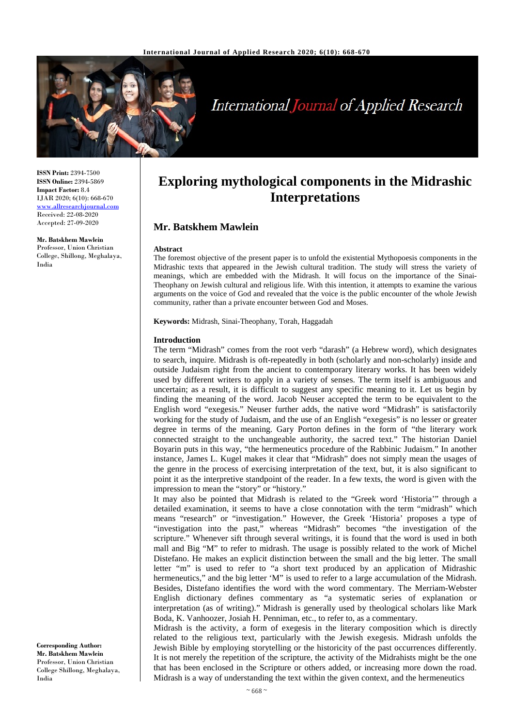

# **International Journal of Applied Research**

**ISSN Print:** 2394-7500 **ISSN Online:** 2394-5869 **Impact Factor:** 8.4 IJAR 2020; 6(10): 668-670 [www.allresearchjournal.com](http://www.allresearchjournal.com/) Received: 22-08-2020 Accepted: 27-09-2020

**Mr. Batskhem Mawlein** Professor, Union Christian College, Shillong, Meghalaya, India

**Exploring mythological components in the Midrashic Interpretations**

## **Mr. Batskhem Mawlein**

#### **Abstract**

The foremost objective of the present paper is to unfold the existential Mythopoesis components in the Midrashic texts that appeared in the Jewish cultural tradition. The study will stress the variety of meanings, which are embedded with the Midrash. It will focus on the importance of the Sinai-Theophany on Jewish cultural and religious life. With this intention, it attempts to examine the various arguments on the voice of God and revealed that the voice is the public encounter of the whole Jewish community, rather than a private encounter between God and Moses.

**Keywords:** Midrash, Sinai-Theophany, Torah, Haggadah

#### **Introduction**

The term "Midrash" comes from the root verb "darash" (a Hebrew word), which designates to search, inquire. Midrash is oft-repeatedly in both (scholarly and non-scholarly) inside and outside Judaism right from the ancient to contemporary literary works. It has been widely used by different writers to apply in a variety of senses. The term itself is ambiguous and uncertain; as a result, it is difficult to suggest any specific meaning to it. Let us begin by finding the meaning of the word. Jacob Neuser accepted the term to be equivalent to the English word "exegesis." Neuser further adds, the native word "Midrash" is satisfactorily working for the study of Judaism, and the use of an English "exegesis" is no lesser or greater degree in terms of the meaning. Gary Porton defines in the form of "the literary work connected straight to the unchangeable authority, the sacred text." The historian Daniel Boyarin puts in this way, "the hermeneutics procedure of the Rabbinic Judaism." In another instance, James L. Kugel makes it clear that "Midrash" does not simply mean the usages of the genre in the process of exercising interpretation of the text, but, it is also significant to point it as the interpretive standpoint of the reader. In a few texts, the word is given with the impression to mean the "story" or "history."

It may also be pointed that Midrash is related to the "Greek word 'Historia'" through a detailed examination, it seems to have a close connotation with the term "midrash" which means "research" or "investigation." However, the Greek 'Historia' proposes a type of "investigation into the past," whereas "Midrash" becomes "the investigation of the scripture." Whenever sift through several writings, it is found that the word is used in both mall and Big "M" to refer to midrash. The usage is possibly related to the work of Michel Distefano. He makes an explicit distinction between the small and the big letter. The small letter "m" is used to refer to "a short text produced by an application of Midrashic hermeneutics," and the big letter 'M" is used to refer to a large accumulation of the Midrash. Besides, Distefano identifies the word with the word commentary. The Merriam-Webster English dictionary defines commentary as "a systematic series of explanation or interpretation (as of writing)." Midrash is generally used by theological scholars like Mark Boda, K. Vanhoozer, Josiah H. Penniman, etc., to refer to, as a commentary.

Midrash is the activity, a form of exegesis in the literary composition which is directly related to the religious text, particularly with the Jewish exegesis. Midrash unfolds the Jewish Bible by employing storytelling or the historicity of the past occurrences differently. It is not merely the repetition of the scripture, the activity of the Midrahists might be the one that has been enclosed in the Scripture or others added, or increasing more down the road. Midrash is a way of understanding the text within the given context, and the hermeneutics

**Corresponding Author: Mr. Batskhem Mawlein** Professor, Union Christian College Shillong, Meghalaya, India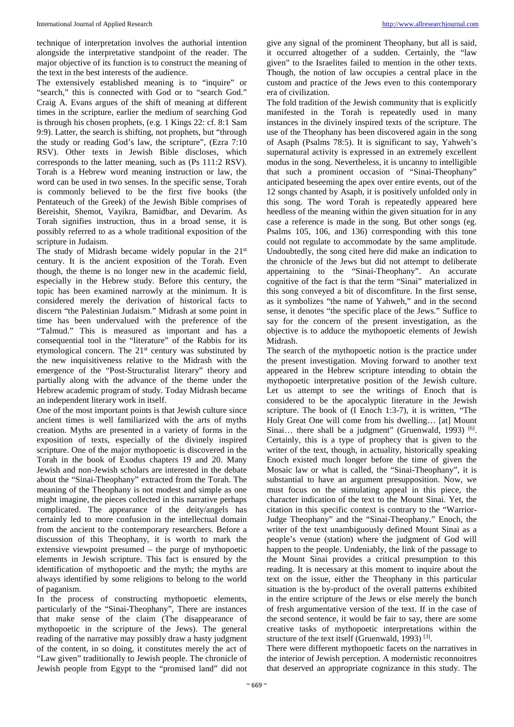technique of interpretation involves the authorial intention alongside the interpretative standpoint of the reader. The major objective of its function is to construct the meaning of the text in the best interests of the audience.

The extensively established meaning is to "inquire" or "search," this is connected with God or to "search God." Craig A. Evans argues of the shift of meaning at different times in the scripture, earlier the medium of searching God is through his chosen prophets, (e.g. 1 Kings 22: cf. 8:1 Sam 9:9). Latter, the search is shifting, not prophets, but "through the study or reading God's law, the scripture", (Ezra 7:10 RSV). Other texts in Jewish Bible discloses, which corresponds to the latter meaning, such as (Ps 111:2 RSV). Torah is a Hebrew word meaning instruction or law, the word can be used in two senses. In the specific sense, Torah is commonly believed to be the first five books (the Pentateuch of the Greek) of the Jewish Bible comprises of Bereishit, Shemot, Vayikra, Bamidbar, and Devarim. As Torah signifies instruction, thus in a broad sense, it is possibly referred to as a whole traditional exposition of the scripture in Judaism.

The study of Midrash became widely popular in the  $21<sup>st</sup>$ century. It is the ancient exposition of the Torah. Even though, the theme is no longer new in the academic field, especially in the Hebrew study. Before this century, the topic has been examined narrowly at the minimum. It is considered merely the derivation of historical facts to discern "the Palestinian Judaism." Midrash at some point in time has been undervalued with the preference of the "Talmud." This is measured as important and has a consequential tool in the "literature" of the Rabbis for its etymological concern. The 21<sup>st</sup> century was substituted by the new inquisitiveness relative to the Midrash with the emergence of the "Post-Structuralist literary" theory and partially along with the advance of the theme under the Hebrew academic program of study. Today Midrash became an independent literary work in itself.

One of the most important points is that Jewish culture since ancient times is well familiarized with the arts of myths creation. Myths are presented in a variety of forms in the exposition of texts, especially of the divinely inspired scripture. One of the major mythopoetic is discovered in the Torah in the book of Exodus chapters 19 and 20. Many Jewish and non-Jewish scholars are interested in the debate about the "Sinai-Theophany" extracted from the Torah. The meaning of the Theophany is not modest and simple as one might imagine, the pieces collected in this narrative perhaps complicated. The appearance of the deity/angels has certainly led to more confusion in the intellectual domain from the ancient to the contemporary researchers. Before a discussion of this Theophany, it is worth to mark the extensive viewpoint presumed – the purge of mythopoetic elements in Jewish scripture. This fact is ensured by the identification of mythopoetic and the myth; the myths are always identified by some religions to belong to the world of paganism.

In the process of constructing mythopoetic elements, particularly of the "Sinai-Theophany", There are instances that make sense of the claim (The disappearance of mythopoetic in the scripture of the Jews). The general reading of the narrative may possibly draw a hasty judgment of the content, in so doing, it constitutes merely the act of "Law given" traditionally to Jewish people. The chronicle of Jewish people from Egypt to the "promised land" did not

give any signal of the prominent Theophany, but all is said, it occurred altogether of a sudden. Certainly, the "law given" to the Israelites failed to mention in the other texts. Though, the notion of law occupies a central place in the custom and practice of the Jews even to this contemporary era of civilization.

The fold tradition of the Jewish community that is explicitly manifested in the Torah is repeatedly used in many instances in the divinely inspired texts of the scripture. The use of the Theophany has been discovered again in the song of Asaph (Psalms 78:5). It is significant to say, Yahweh's supernatural activity is expressed in an extremely excellent modus in the song. Nevertheless, it is uncanny to intelligible that such a prominent occasion of "Sinai-Theophany" anticipated beseeming the apex over entire events, out of the 12 songs chanted by Asaph, it is positively unfolded only in this song. The word Torah is repeatedly appeared here heedless of the meaning within the given situation for in any case a reference is made in the song. But other songs (eg. Psalms 105, 106, and 136) corresponding with this tone could not regulate to accommodate by the same amplitude. Undoubtedly, the song cited here did make an indication to the chronicle of the Jews but did not attempt to deliberate appertaining to the "Sinai-Theophany". An accurate cognitive of the fact is that the term "Sinai" materialized in this song conveyed a bit of discomfiture. In the first sense, as it symbolizes "the name of Yahweh," and in the second sense, it denotes "the specific place of the Jews." Suffice to say for the concern of the present investigation, as the objective is to adduce the mythopoetic elements of Jewish Midrash.

The search of the mythopoetic notion is the practice under the present investigation. Moving forward to another text appeared in the Hebrew scripture intending to obtain the mythopoetic interpretative position of the Jewish culture. Let us attempt to see the writings of Enoch that is considered to be the apocalyptic literature in the Jewish scripture. The book of (I Enoch 1:3-7), it is written, "The Holy Great One will come from his dwelling… [at] Mount Sinai... there shall be a judgment" (Gruenwald, 1993) <sup>[6]</sup>. Certainly, this is a type of prophecy that is given to the writer of the text, though, in actuality, historically speaking Enoch existed much longer before the time of given the Mosaic law or what is called, the "Sinai-Theophany", it is substantial to have an argument presupposition. Now, we must focus on the stimulating appeal in this piece, the character indication of the text to the Mount Sinai. Yet, the citation in this specific context is contrary to the "Warrior-Judge Theophany" and the "Sinai-Theophany." Enoch, the writer of the text unambiguously defined Mount Sinai as a people's venue (station) where the judgment of God will happen to the people. Undeniably, the link of the passage to the Mount Sinai provides a critical presumption to this reading. It is necessary at this moment to inquire about the text on the issue, either the Theophany in this particular situation is the by-product of the overall patterns exhibited in the entire scripture of the Jews or else merely the bunch of fresh argumentative version of the text. If in the case of the second sentence, it would be fair to say, there are some creative tasks of mythopoetic interpretations within the structure of the text itself (Gruenwald, 1993)<sup>[3]</sup>.

There were different mythopoetic facets on the narratives in the interior of Jewish perception. A modernistic reconnoitres that deserved an appropriate cognizance in this study. The